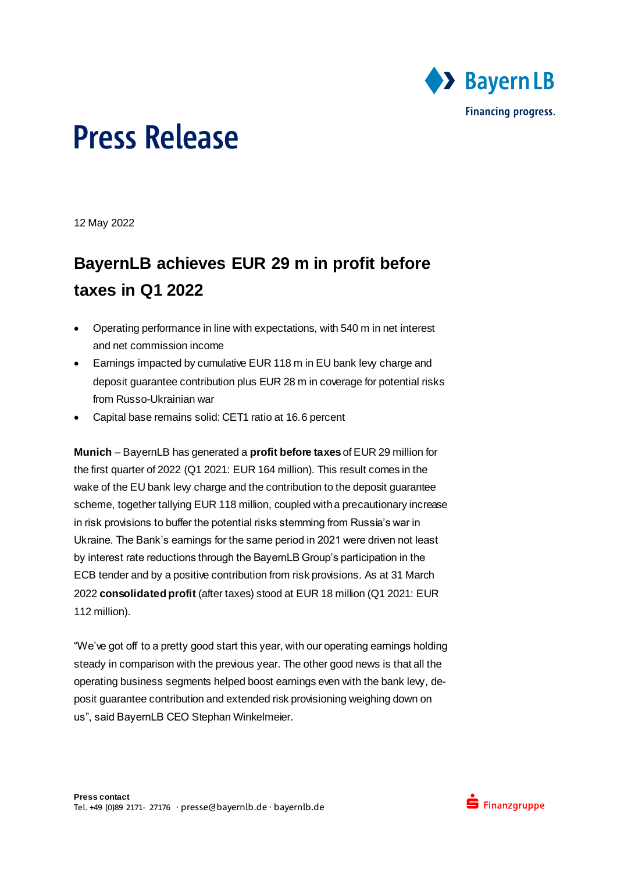

12 May 2022

### **BayernLB achieves EUR 29 m in profit before taxes in Q1 2022**

- Operating performance in line with expectations, with 540 m in net interest and net commission income
- **Earnings impacted by cumulative EUR 118 m in EU bank levy charge and** deposit guarantee contribution plus EUR 28 m in coverage for potential risks from Russo-Ukrainian war
- Capital base remains solid: CET1 ratio at 16.6 percent

**Munich** – BayernLB has generated a **profit before taxes** of EUR 29 million for the first quarter of 2022 (Q1 2021: EUR 164 million). This result comes in the wake of the EU bank levy charge and the contribution to the deposit guarantee scheme, together tallying EUR 118 million, coupled with a precautionary increase in risk provisions to buffer the potential risks stemming from Russia's war in Ukraine. The Bank's earnings for the same period in 2021 were driven not least by interest rate reductions through the BayernLB Group's participation in the ECB tender and by a positive contribution from risk provisions. As at 31 March 2022 **consolidated profit** (after taxes) stood at EUR 18 million (Q1 2021: EUR 112 million).

"We've got off to a pretty good start this year, with our operating earnings holding steady in comparison with the previous year. The other good news is that all the operating business segments helped boost earnings even with the bank levy, deposit guarantee contribution and extended risk provisioning weighing down on us", said BayernLB CEO Stephan Winkelmeier.

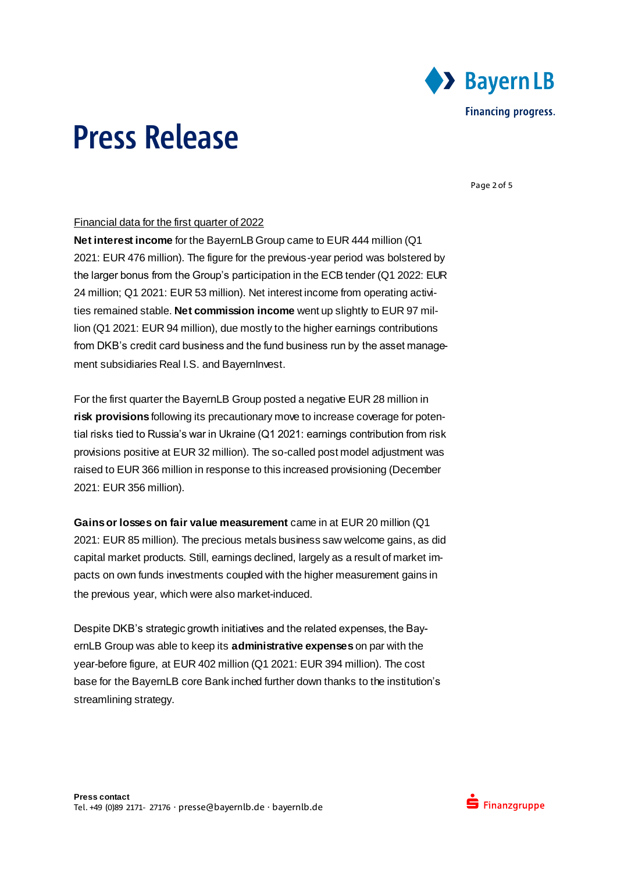

Page 2 of 5

#### Financial data for the first quarter of 2022

**Net interest income** for the BayernLB Group came to EUR 444 million (Q1 2021: EUR 476 million). The figure for the previous-year period was bolstered by the larger bonus from the Group's participation in the ECB tender (Q1 2022: EUR 24 million; Q1 2021: EUR 53 million). Net interest income from operating activities remained stable. **Net commission income** went up slightly to EUR 97 million (Q1 2021: EUR 94 million), due mostly to the higher earnings contributions from DKB's credit card business and the fund business run by the asset management subsidiaries Real I.S. and BayernInvest.

For the first quarter the BayernLB Group posted a negative EUR 28 million in **risk provisions** following its precautionary move to increase coverage for potential risks tied to Russia's war in Ukraine (Q1 2021: earnings contribution from risk provisions positive at EUR 32 million). The so-called post model adjustment was raised to EUR 366 million in response to this increased provisioning (December 2021: EUR 356 million).

**Gains or losses on fair value measurement** came in at EUR 20 million (Q1 2021: EUR 85 million). The precious metals business saw welcome gains, as did capital market products. Still, earnings declined, largely as a result of market impacts on own funds investments coupled with the higher measurement gains in the previous year, which were also market-induced.

Despite DKB's strategic growth initiatives and the related expenses, the BayernLB Group was able to keep its **administrative expenses** on par with the year-before figure, at EUR 402 million (Q1 2021: EUR 394 million). The cost base for the BayernLB core Bank inched further down thanks to the institution's streamlining strategy.

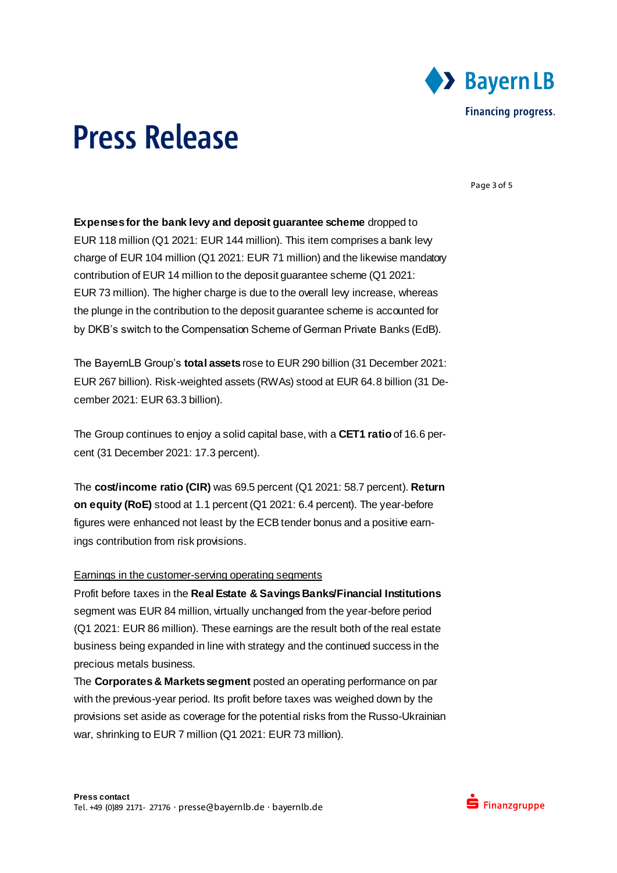

Page 3 of 5

**Expenses for the bank levy and deposit guarantee scheme** dropped to EUR 118 million (Q1 2021: EUR 144 million). This item comprises a bank levy charge of EUR 104 million (Q1 2021: EUR 71 million) and the likewise mandatory contribution of EUR 14 million to the deposit guarantee scheme (Q1 2021: EUR 73 million). The higher charge is due to the overall levy increase, whereas the plunge in the contribution to the deposit guarantee scheme is accounted for by DKB's switch to the Compensation Scheme of German Private Banks (EdB).

The BayernLB Group's **total assets** rose to EUR 290 billion (31 December 2021: EUR 267 billion). Risk-weighted assets (RWAs) stood at EUR 64.8 billion (31 December 2021: EUR 63.3 billion).

The Group continues to enjoy a solid capital base, with a **CET1 ratio** of 16.6 percent (31 December 2021: 17.3 percent).

The **cost/income ratio (CIR)** was 69.5 percent (Q1 2021: 58.7 percent). **Return on equity (RoE)** stood at 1.1 percent (Q1 2021: 6.4 percent). The year-before figures were enhanced not least by the ECB tender bonus and a positive earnings contribution from risk provisions.

#### Earnings in the customer-serving operating segments

Profit before taxes in the **Real Estate & Savings Banks/Financial Institutions** segment was EUR 84 million, virtually unchanged from the year-before period (Q1 2021: EUR 86 million). These earnings are the result both of the real estate business being expanded in line with strategy and the continued success in the precious metals business.

The **Corporates & Markets segment** posted an operating performance on par with the previous-year period. Its profit before taxes was weighed down by the provisions set aside as coverage for the potential risks from the Russo-Ukrainian war, shrinking to EUR 7 million (Q1 2021: EUR 73 million).

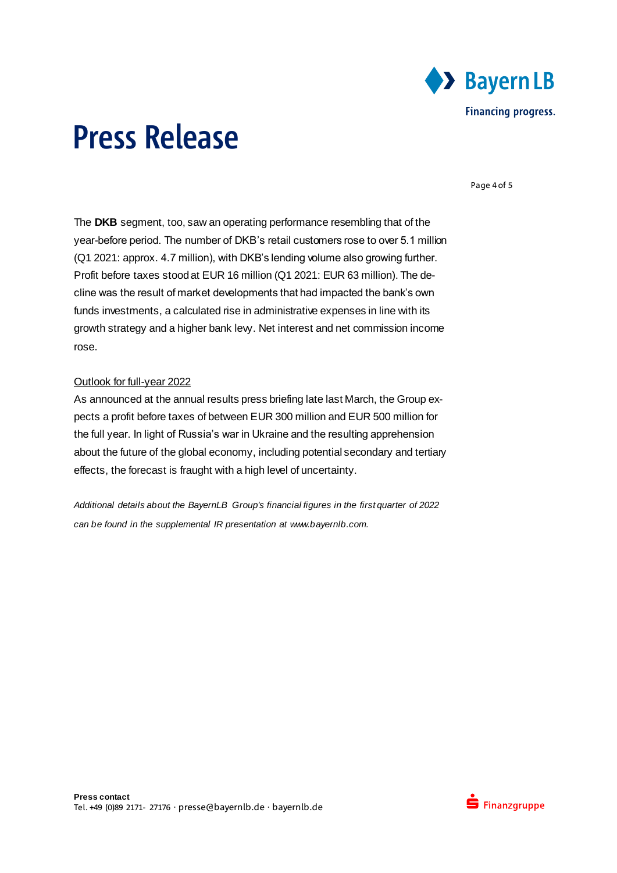

Page 4 of 5

The **DKB** segment, too, saw an operating performance resembling that of the year-before period. The number of DKB's retail customers rose to over 5.1 million (Q1 2021: approx. 4.7 million), with DKB's lending volume also growing further. Profit before taxes stood at EUR 16 million (Q1 2021: EUR 63 million). The decline was the result of market developments that had impacted the bank's own funds investments, a calculated rise in administrative expenses in line with its growth strategy and a higher bank levy. Net interest and net commission income rose.

#### Outlook for full-year 2022

As announced at the annual results press briefing late last March, the Group expects a profit before taxes of between EUR 300 million and EUR 500 million for the full year. In light of Russia's war in Ukraine and the resulting apprehension about the future of the global economy, including potential secondary and tertiary effects, the forecast is fraught with a high level of uncertainty.

*Additional details about the BayernLB Group's financial figures in the first quarter of 2022 can be found in the supplemental IR presentation at www.bayernlb.com.*